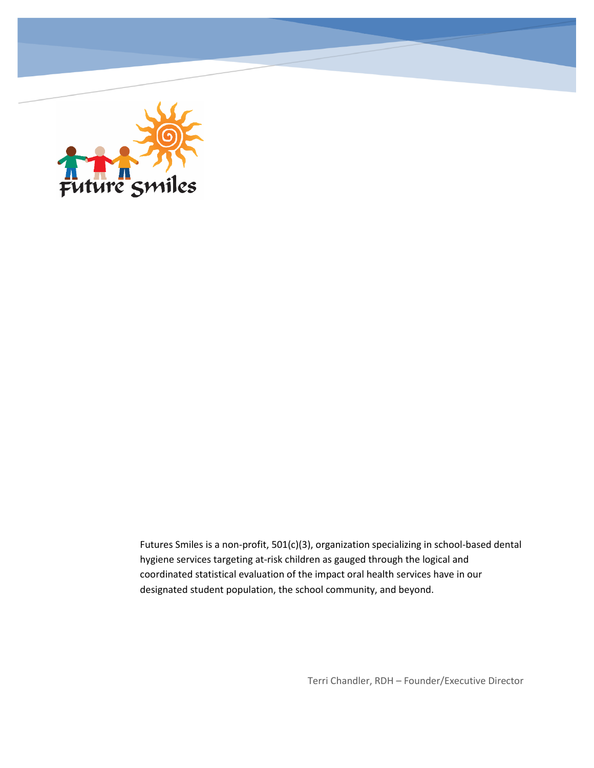

Futures Smiles is a non-profit, 501(c)(3), organization specializing in school-based dental hygiene services targeting at-risk children as gauged through the logical and coordinated statistical evaluation of the impact oral health services have in our designated student population, the school community, and beyond.

Terri Chandler, RDH – Founder/Executive Director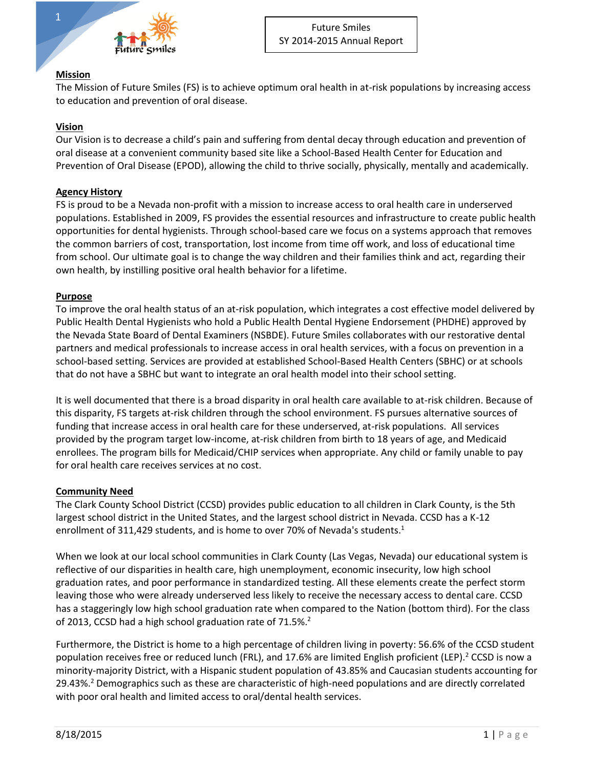

## **Mission**

The Mission of Future Smiles (FS) is to achieve optimum oral health in at-risk populations by increasing access to education and prevention of oral disease.

## **Vision**

Our Vision is to decrease a child's pain and suffering from dental decay through education and prevention of oral disease at a convenient community based site like a School-Based Health Center for Education and Prevention of Oral Disease (EPOD), allowing the child to thrive socially, physically, mentally and academically.

#### **Agency History**

FS is proud to be a Nevada non-profit with a mission to increase access to oral health care in underserved populations. Established in 2009, FS provides the essential resources and infrastructure to create public health opportunities for dental hygienists. Through school-based care we focus on a systems approach that removes the common barriers of cost, transportation, lost income from time off work, and loss of educational time from school. Our ultimate goal is to change the way children and their families think and act, regarding their own health, by instilling positive oral health behavior for a lifetime.

## **Purpose**

To improve the oral health status of an at-risk population, which integrates a cost effective model delivered by Public Health Dental Hygienists who hold a Public Health Dental Hygiene Endorsement (PHDHE) approved by the Nevada State Board of Dental Examiners (NSBDE). Future Smiles collaborates with our restorative dental partners and medical professionals to increase access in oral health services, with a focus on prevention in a school-based setting. Services are provided at established School-Based Health Centers (SBHC) or at schools that do not have a SBHC but want to integrate an oral health model into their school setting.

It is well documented that there is a broad disparity in oral health care available to at-risk children. Because of this disparity, FS targets at-risk children through the school environment. FS pursues alternative sources of funding that increase access in oral health care for these underserved, at-risk populations. All services provided by the program target low-income, at-risk children from birth to 18 years of age, and Medicaid enrollees. The program bills for Medicaid/CHIP services when appropriate. Any child or family unable to pay for oral health care receives services at no cost.

# **Community Need**

The Clark County School District (CCSD) provides public education to all children in Clark County, is the 5th largest school district in the United States, and the largest school district in Nevada. CCSD has a K-12 enrollment of 311,429 students, and is home to over 70% of Nevada's students.<sup>1</sup>

When we look at our local school communities in Clark County (Las Vegas, Nevada) our educational system is reflective of our disparities in health care, high unemployment, economic insecurity, low high school graduation rates, and poor performance in standardized testing. All these elements create the perfect storm leaving those who were already underserved less likely to receive the necessary access to dental care. CCSD has a staggeringly low high school graduation rate when compared to the Nation (bottom third). For the class of 2013, CCSD had a high school graduation rate of 71.5%.<sup>2</sup>

Furthermore, the District is home to a high percentage of children living in poverty: 56.6% of the CCSD student population receives free or reduced lunch (FRL), and 17.6% are limited English proficient (LEP).<sup>2</sup> CCSD is now a minority-majority District, with a Hispanic student population of 43.85% and Caucasian students accounting for 29.43%.<sup>2</sup> Demographics such as these are characteristic of high-need populations and are directly correlated with poor oral health and limited access to oral/dental health services.

1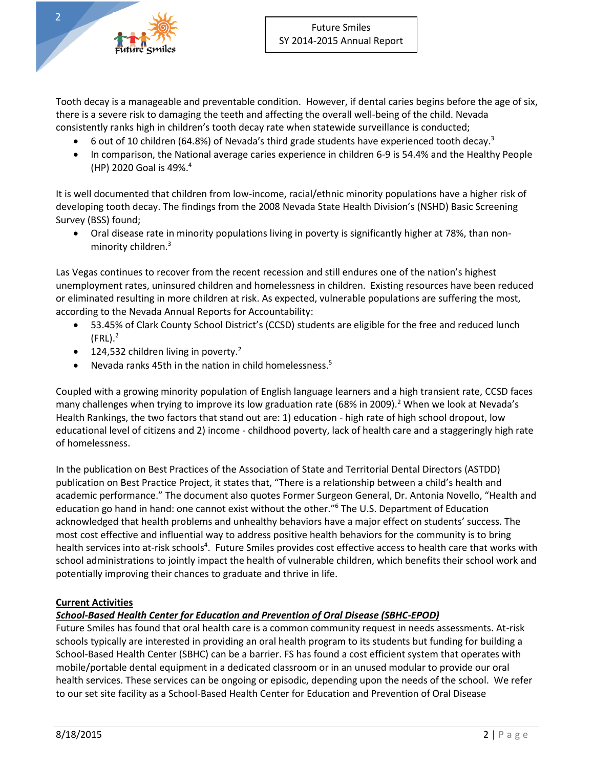Tooth decay is a manageable and preventable condition. However, if dental caries begins before the age of six, there is a severe risk to damaging the teeth and affecting the overall well-being of the child. Nevada consistently ranks high in children's tooth decay rate when statewide surveillance is conducted;

- 6 out of 10 children (64.8%) of Nevada's third grade students have experienced tooth decay.<sup>3</sup>
- In comparison, the National average caries experience in children 6-9 is 54.4% and the Healthy People (HP) 2020 Goal is 49%. 4

It is well documented that children from low-income, racial/ethnic minority populations have a higher risk of developing tooth decay. The findings from the 2008 Nevada State Health Division's (NSHD) Basic Screening Survey (BSS) found;

 Oral disease rate in minority populations living in poverty is significantly higher at 78%, than nonminority children.<sup>3</sup>

Las Vegas continues to recover from the recent recession and still endures one of the nation's highest unemployment rates, uninsured children and homelessness in children. Existing resources have been reduced or eliminated resulting in more children at risk. As expected, vulnerable populations are suffering the most, according to the Nevada Annual Reports for Accountability:

- 53.45% of Clark County School District's (CCSD) students are eligible for the free and reduced lunch (FRL). 2
- $\bullet$  124,532 children living in poverty.<sup>2</sup>
- Nevada ranks 45th in the nation in child homelessness. $5$

Coupled with a growing minority population of English language learners and a high transient rate, CCSD faces many challenges when trying to improve its low graduation rate (68% in 2009).<sup>2</sup> When we look at Nevada's Health Rankings, the two factors that stand out are: 1) education - high rate of high school dropout, low educational level of citizens and 2) income - childhood poverty, lack of health care and a staggeringly high rate of homelessness.

In the publication on Best Practices of the Association of State and Territorial Dental Directors (ASTDD) publication on Best Practice Project, it states that, "There is a relationship between a child's health and academic performance." The document also quotes Former Surgeon General, Dr. Antonia Novello, "Health and education go hand in hand: one cannot exist without the other."<sup>6</sup> The U.S. Department of Education acknowledged that health problems and unhealthy behaviors have a major effect on students' success. The most cost effective and influential way to address positive health behaviors for the community is to bring health services into at-risk schools<sup>4</sup>. Future Smiles provides cost effective access to health care that works with school administrations to jointly impact the health of vulnerable children, which benefits their school work and potentially improving their chances to graduate and thrive in life.

# **Current Activities**

# *School-Based Health Center for Education and Prevention of Oral Disease (SBHC-EPOD)*

Future Smiles has found that oral health care is a common community request in needs assessments. At-risk schools typically are interested in providing an oral health program to its students but funding for building a School-Based Health Center (SBHC) can be a barrier. FS has found a cost efficient system that operates with mobile/portable dental equipment in a dedicated classroom or in an unused modular to provide our oral health services. These services can be ongoing or episodic, depending upon the needs of the school. We refer to our set site facility as a School-Based Health Center for Education and Prevention of Oral Disease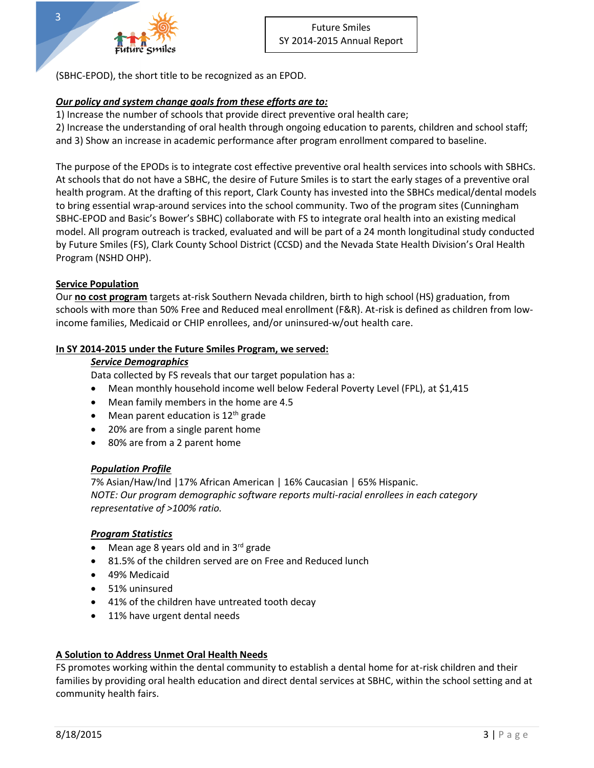

(SBHC-EPOD), the short title to be recognized as an EPOD.

# *Our policy and system change goals from these efforts are to:*

1) Increase the number of schools that provide direct preventive oral health care;

2) Increase the understanding of oral health through ongoing education to parents, children and school staff; and 3) Show an increase in academic performance after program enrollment compared to baseline.

The purpose of the EPODs is to integrate cost effective preventive oral health services into schools with SBHCs. At schools that do not have a SBHC, the desire of Future Smiles is to start the early stages of a preventive oral health program. At the drafting of this report, Clark County has invested into the SBHCs medical/dental models to bring essential wrap-around services into the school community. Two of the program sites (Cunningham SBHC-EPOD and Basic's Bower's SBHC) collaborate with FS to integrate oral health into an existing medical model. All program outreach is tracked, evaluated and will be part of a 24 month longitudinal study conducted by Future Smiles (FS), Clark County School District (CCSD) and the Nevada State Health Division's Oral Health Program (NSHD OHP).

# **Service Population**

Our **no cost program** targets at-risk Southern Nevada children, birth to high school (HS) graduation, from schools with more than 50% Free and Reduced meal enrollment (F&R). At-risk is defined as children from lowincome families, Medicaid or CHIP enrollees, and/or uninsured-w/out health care.

# **In SY 2014-2015 under the Future Smiles Program, we served:**

## *Service Demographics*

Data collected by FS reveals that our target population has a:

- Mean monthly household income well below Federal Poverty Level (FPL), at \$1,415
- Mean family members in the home are 4.5
- $\bullet$  Mean parent education is 12<sup>th</sup> grade
- 20% are from a single parent home
- 80% are from a 2 parent home

# *Population Profile*

7% Asian/Haw/Ind |17% African American | 16% Caucasian | 65% Hispanic. *NOTE: Our program demographic software reports multi-racial enrollees in each category representative of >100% ratio.*

# *Program Statistics*

- Mean age 8 years old and in  $3<sup>rd</sup>$  grade
- 81.5% of the children served are on Free and Reduced lunch
- 49% Medicaid
- 51% uninsured
- 41% of the children have untreated tooth decay
- 11% have urgent dental needs

# **A Solution to Address Unmet Oral Health Needs**

FS promotes working within the dental community to establish a dental home for at-risk children and their families by providing oral health education and direct dental services at SBHC, within the school setting and at community health fairs.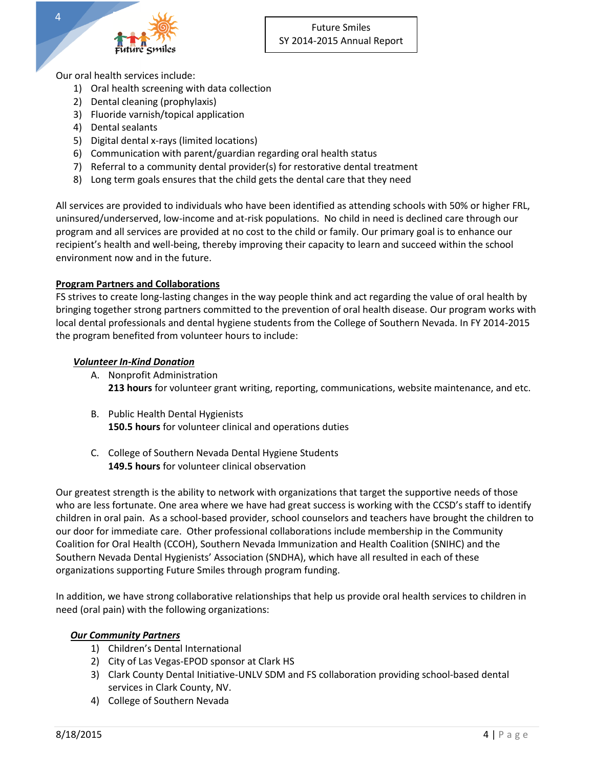

Our oral health services include:

- 1) Oral health screening with data collection
- 2) Dental cleaning (prophylaxis)
- 3) Fluoride varnish/topical application
- 4) Dental sealants
- 5) Digital dental x-rays (limited locations)
- 6) Communication with parent/guardian regarding oral health status
- 7) Referral to a community dental provider(s) for restorative dental treatment
- 8) Long term goals ensures that the child gets the dental care that they need

All services are provided to individuals who have been identified as attending schools with 50% or higher FRL, uninsured/underserved, low-income and at-risk populations. No child in need is declined care through our program and all services are provided at no cost to the child or family. Our primary goal is to enhance our recipient's health and well-being, thereby improving their capacity to learn and succeed within the school environment now and in the future.

#### **Program Partners and Collaborations**

FS strives to create long-lasting changes in the way people think and act regarding the value of oral health by bringing together strong partners committed to the prevention of oral health disease. Our program works with local dental professionals and dental hygiene students from the College of Southern Nevada. In FY 2014-2015 the program benefited from volunteer hours to include:

#### *Volunteer In-Kind Donation*

- A. Nonprofit Administration **213 hours** for volunteer grant writing, reporting, communications, website maintenance, and etc.
- B. Public Health Dental Hygienists **150.5 hours** for volunteer clinical and operations duties
- C. College of Southern Nevada Dental Hygiene Students **149.5 hours** for volunteer clinical observation

Our greatest strength is the ability to network with organizations that target the supportive needs of those who are less fortunate. One area where we have had great success is working with the CCSD's staff to identify children in oral pain. As a school-based provider, school counselors and teachers have brought the children to our door for immediate care. Other professional collaborations include membership in the Community Coalition for Oral Health (CCOH), Southern Nevada Immunization and Health Coalition (SNIHC) and the Southern Nevada Dental Hygienists' Association (SNDHA), which have all resulted in each of these organizations supporting Future Smiles through program funding.

In addition, we have strong collaborative relationships that help us provide oral health services to children in need (oral pain) with the following organizations:

#### *Our Community Partners*

- 1) Children's Dental International
- 2) City of Las Vegas-EPOD sponsor at Clark HS
- 3) Clark County Dental Initiative-UNLV SDM and FS collaboration providing school-based dental services in Clark County, NV.
- 4) College of Southern Nevada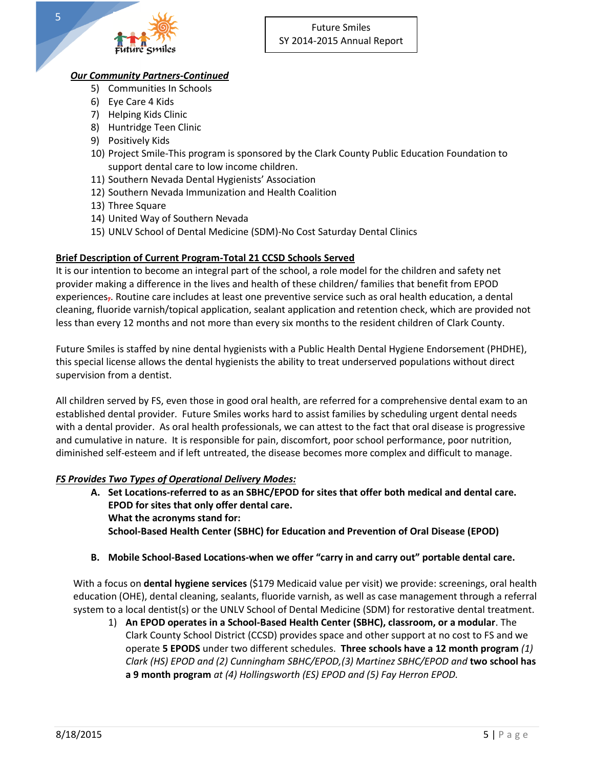

# *Our Community Partners-Continued*

- 5) Communities In Schools
- 6) Eye Care 4 Kids
- 7) Helping Kids Clinic
- 8) Huntridge Teen Clinic
- 9) Positively Kids
- 10) Project Smile-This program is sponsored by the Clark County Public Education Foundation to support dental care to low income children.
- 11) Southern Nevada Dental Hygienists' Association
- 12) Southern Nevada Immunization and Health Coalition
- 13) Three Square
- 14) United Way of Southern Nevada
- 15) UNLV School of Dental Medicine (SDM)-No Cost Saturday Dental Clinics

# **Brief Description of Current Program-Total 21 CCSD Schools Served**

It is our intention to become an integral part of the school, a role model for the children and safety net provider making a difference in the lives and health of these children/ families that benefit from EPOD experiences<sub>7</sub>. Routine care includes at least one preventive service such as oral health education, a dental cleaning, fluoride varnish/topical application, sealant application and retention check, which are provided not less than every 12 months and not more than every six months to the resident children of Clark County.

Future Smiles is staffed by nine dental hygienists with a Public Health Dental Hygiene Endorsement (PHDHE), this special license allows the dental hygienists the ability to treat underserved populations without direct supervision from a dentist.

All children served by FS, even those in good oral health, are referred for a comprehensive dental exam to an established dental provider. Future Smiles works hard to assist families by scheduling urgent dental needs with a dental provider. As oral health professionals, we can attest to the fact that oral disease is progressive and cumulative in nature. It is responsible for pain, discomfort, poor school performance, poor nutrition, diminished self-esteem and if left untreated, the disease becomes more complex and difficult to manage.

# *FS Provides Two Types of Operational Delivery Modes:*

- **A. Set Locations-referred to as an SBHC/EPOD for sites that offer both medical and dental care. EPOD for sites that only offer dental care. What the acronyms stand for: School-Based Health Center (SBHC) for Education and Prevention of Oral Disease (EPOD)**
- **B. Mobile School-Based Locations-when we offer "carry in and carry out" portable dental care.**

With a focus on **dental hygiene services** (\$179 Medicaid value per visit) we provide: screenings, oral health education (OHE), dental cleaning, sealants, fluoride varnish, as well as case management through a referral system to a local dentist(s) or the UNLV School of Dental Medicine (SDM) for restorative dental treatment.

1) **An EPOD operates in a School-Based Health Center (SBHC), classroom, or a modular**. The Clark County School District (CCSD) provides space and other support at no cost to FS and we operate **5 EPODS** under two different schedules. **Three schools have a 12 month program** *(1) Clark (HS) EPOD and (2) Cunningham SBHC/EPOD,(3) Martinez SBHC/EPOD and* **two school has a 9 month program** *at (4) Hollingsworth (ES) EPOD and (5) Fay Herron EPOD.*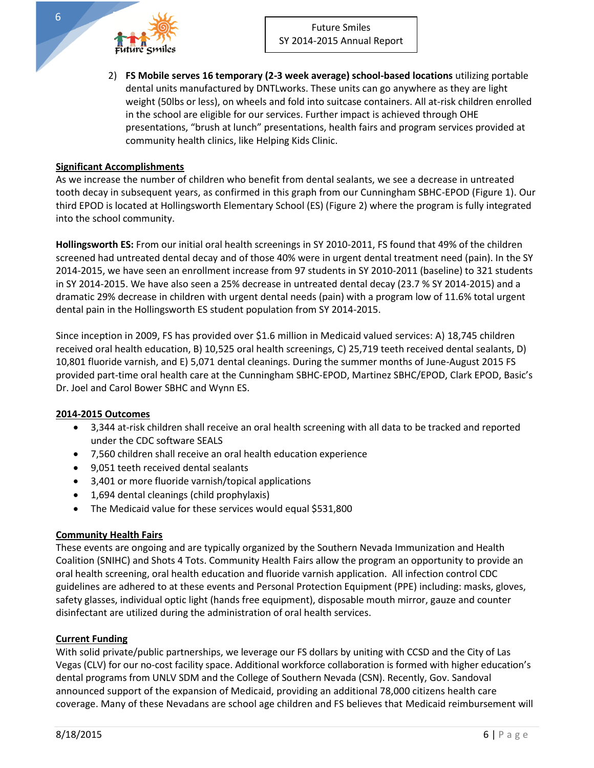2) **FS Mobile serves 16 temporary (2-3 week average) school-based locations** utilizing portable dental units manufactured by DNTLworks. These units can go anywhere as they are light weight (50lbs or less), on wheels and fold into suitcase containers. All at-risk children enrolled in the school are eligible for our services. Further impact is achieved through OHE presentations, "brush at lunch" presentations, health fairs and program services provided at community health clinics, like Helping Kids Clinic.

#### **Significant Accomplishments**

As we increase the number of children who benefit from dental sealants, we see a decrease in untreated tooth decay in subsequent years, as confirmed in this graph from our Cunningham SBHC-EPOD (Figure 1). Our third EPOD is located at Hollingsworth Elementary School (ES) (Figure 2) where the program is fully integrated into the school community.

**Hollingsworth ES:** From our initial oral health screenings in SY 2010-2011, FS found that 49% of the children screened had untreated dental decay and of those 40% were in urgent dental treatment need (pain). In the SY 2014-2015, we have seen an enrollment increase from 97 students in SY 2010-2011 (baseline) to 321 students in SY 2014-2015. We have also seen a 25% decrease in untreated dental decay (23.7 % SY 2014-2015) and a dramatic 29% decrease in children with urgent dental needs (pain) with a program low of 11.6% total urgent dental pain in the Hollingsworth ES student population from SY 2014-2015.

Since inception in 2009, FS has provided over \$1.6 million in Medicaid valued services: A) 18,745 children received oral health education, B) 10,525 oral health screenings, C) 25,719 teeth received dental sealants, D) 10,801 fluoride varnish, and E) 5,071 dental cleanings. During the summer months of June-August 2015 FS provided part-time oral health care at the Cunningham SBHC-EPOD, Martinez SBHC/EPOD, Clark EPOD, Basic's Dr. Joel and Carol Bower SBHC and Wynn ES.

#### **2014-2015 Outcomes**

- 3,344 at-risk children shall receive an oral health screening with all data to be tracked and reported under the CDC software SEALS
- 7,560 children shall receive an oral health education experience
- 9,051 teeth received dental sealants
- 3,401 or more fluoride varnish/topical applications
- 1,694 dental cleanings (child prophylaxis)
- The Medicaid value for these services would equal \$531,800

# **Community Health Fairs**

These events are ongoing and are typically organized by the Southern Nevada Immunization and Health Coalition (SNIHC) and Shots 4 Tots. Community Health Fairs allow the program an opportunity to provide an oral health screening, oral health education and fluoride varnish application. All infection control CDC guidelines are adhered to at these events and Personal Protection Equipment (PPE) including: masks, gloves, safety glasses, individual optic light (hands free equipment), disposable mouth mirror, gauze and counter disinfectant are utilized during the administration of oral health services.

#### **Current Funding**

With solid private/public partnerships, we leverage our FS dollars by uniting with CCSD and the City of Las Vegas (CLV) for our no-cost facility space. Additional workforce collaboration is formed with higher education's dental programs from UNLV SDM and the College of Southern Nevada (CSN). Recently, Gov. Sandoval announced support of the expansion of Medicaid, providing an additional 78,000 citizens health care coverage. Many of these Nevadans are school age children and FS believes that Medicaid reimbursement will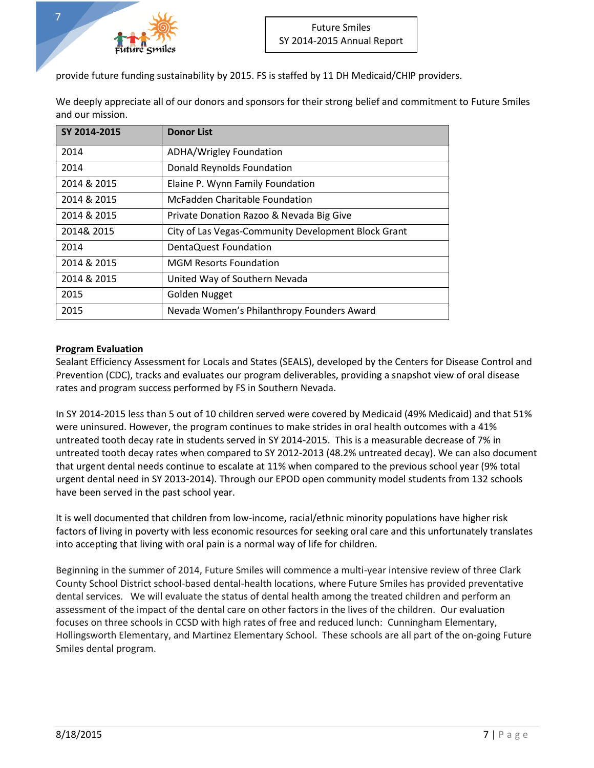

provide future funding sustainability by 2015. FS is staffed by 11 DH Medicaid/CHIP providers.

| We deeply appreciate all of our donors and sponsors for their strong belief and commitment to Future Smiles |  |
|-------------------------------------------------------------------------------------------------------------|--|
| and our mission.                                                                                            |  |

| SY 2014-2015 | <b>Donor List</b>                                   |
|--------------|-----------------------------------------------------|
| 2014         | ADHA/Wrigley Foundation                             |
| 2014         | Donald Reynolds Foundation                          |
| 2014 & 2015  | Elaine P. Wynn Family Foundation                    |
| 2014 & 2015  | McFadden Charitable Foundation                      |
| 2014 & 2015  | Private Donation Razoo & Nevada Big Give            |
| 2014& 2015   | City of Las Vegas-Community Development Block Grant |
| 2014         | DentaQuest Foundation                               |
| 2014 & 2015  | <b>MGM Resorts Foundation</b>                       |
| 2014 & 2015  | United Way of Southern Nevada                       |
| 2015         | Golden Nugget                                       |
| 2015         | Nevada Women's Philanthropy Founders Award          |

# **Program Evaluation**

Sealant Efficiency Assessment for Locals and States (SEALS), developed by the Centers for Disease Control and Prevention (CDC), tracks and evaluates our program deliverables, providing a snapshot view of oral disease rates and program success performed by FS in Southern Nevada.

In SY 2014-2015 less than 5 out of 10 children served were covered by Medicaid (49% Medicaid) and that 51% were uninsured. However, the program continues to make strides in oral health outcomes with a 41% untreated tooth decay rate in students served in SY 2014-2015. This is a measurable decrease of 7% in untreated tooth decay rates when compared to SY 2012-2013 (48.2% untreated decay). We can also document that urgent dental needs continue to escalate at 11% when compared to the previous school year (9% total urgent dental need in SY 2013-2014). Through our EPOD open community model students from 132 schools have been served in the past school year.

It is well documented that children from low-income, racial/ethnic minority populations have higher risk factors of living in poverty with less economic resources for seeking oral care and this unfortunately translates into accepting that living with oral pain is a normal way of life for children.

Beginning in the summer of 2014, Future Smiles will commence a multi-year intensive review of three Clark County School District school-based dental-health locations, where Future Smiles has provided preventative dental services. We will evaluate the status of dental health among the treated children and perform an assessment of the impact of the dental care on other factors in the lives of the children. Our evaluation focuses on three schools in CCSD with high rates of free and reduced lunch: Cunningham Elementary, Hollingsworth Elementary, and Martinez Elementary School. These schools are all part of the on-going Future Smiles dental program.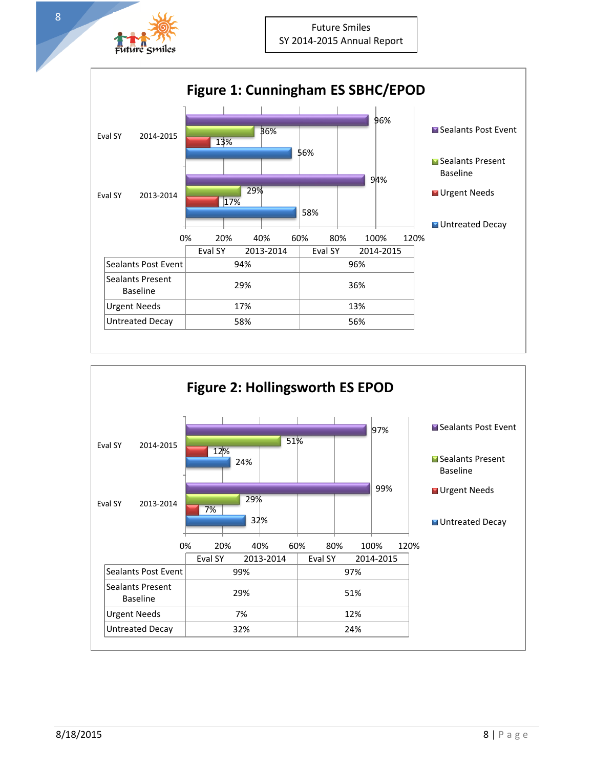



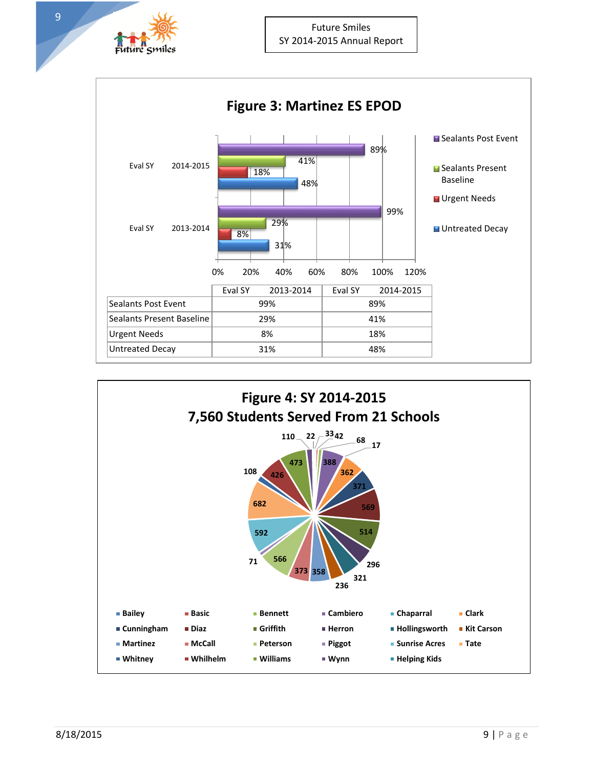





9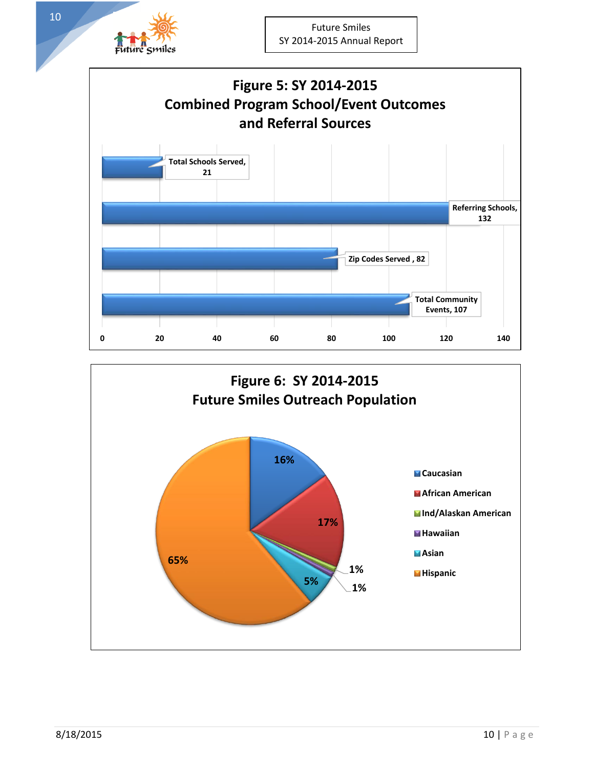



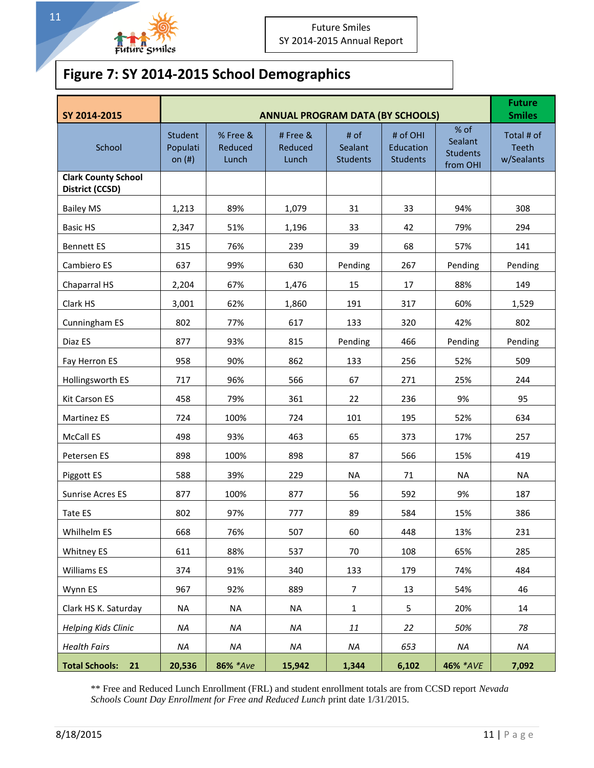

11

# **Figure 7: SY 2014-2015 School Demographics**

| SY 2014-2015                                  |                                 | <b>Future</b><br><b>Smiles</b> |                             |                                    |                                          |                                                |                                          |
|-----------------------------------------------|---------------------------------|--------------------------------|-----------------------------|------------------------------------|------------------------------------------|------------------------------------------------|------------------------------------------|
| School                                        | Student<br>Populati<br>on $(#)$ | % Free &<br>Reduced<br>Lunch   | #Free &<br>Reduced<br>Lunch | # of<br>Sealant<br><b>Students</b> | # of OHI<br>Education<br><b>Students</b> | % of<br>Sealant<br><b>Students</b><br>from OHI | Total # of<br><b>Teeth</b><br>w/Sealants |
| <b>Clark County School</b><br>District (CCSD) |                                 |                                |                             |                                    |                                          |                                                |                                          |
| <b>Bailey MS</b>                              | 1,213                           | 89%                            | 1,079                       | 31                                 | 33                                       | 94%                                            | 308                                      |
| <b>Basic HS</b>                               | 2,347                           | 51%                            | 1,196                       | 33                                 | 42                                       | 79%                                            | 294                                      |
| <b>Bennett ES</b>                             | 315                             | 76%                            | 239                         | 39                                 | 68                                       | 57%                                            | 141                                      |
| Cambiero ES                                   | 637                             | 99%                            | 630                         | Pending                            | 267                                      | Pending                                        | Pending                                  |
| Chaparral HS                                  | 2,204                           | 67%                            | 1,476                       | 15                                 | 17                                       | 88%                                            | 149                                      |
| Clark HS                                      | 3,001                           | 62%                            | 1,860                       | 191                                | 317                                      | 60%                                            | 1,529                                    |
| Cunningham ES                                 | 802                             | 77%                            | 617                         | 133                                | 320                                      | 42%                                            | 802                                      |
| Diaz ES                                       | 877                             | 93%                            | 815                         | Pending                            | 466                                      | Pending                                        | Pending                                  |
| Fay Herron ES                                 | 958                             | 90%                            | 862                         | 133                                | 256                                      | 52%                                            | 509                                      |
| Hollingsworth ES                              | 717                             | 96%                            | 566                         | 67                                 | 271                                      | 25%                                            | 244                                      |
| <b>Kit Carson ES</b>                          | 458                             | 79%                            | 361                         | 22                                 | 236                                      | 9%                                             | 95                                       |
| <b>Martinez ES</b>                            | 724                             | 100%                           | 724                         | 101                                | 195                                      | 52%                                            | 634                                      |
| McCall ES                                     | 498                             | 93%                            | 463                         | 65                                 | 373                                      | 17%                                            | 257                                      |
| Petersen ES                                   | 898                             | 100%                           | 898                         | 87                                 | 566                                      | 15%                                            | 419                                      |
| Piggott ES                                    | 588                             | 39%                            | 229                         | <b>NA</b>                          | 71                                       | <b>NA</b>                                      | <b>NA</b>                                |
| <b>Sunrise Acres ES</b>                       | 877                             | 100%                           | 877                         | 56                                 | 592                                      | 9%                                             | 187                                      |
| Tate ES                                       | 802                             | 97%                            | 777                         | 89                                 | 584                                      | 15%                                            | 386                                      |
| Whilhelm ES                                   | 668                             | 76%                            | 507                         | 60                                 | 448                                      | 13%                                            | 231                                      |
| Whitney ES                                    | 611                             | 88%                            | 537                         | 70                                 | 108                                      | 65%                                            | 285                                      |
| Williams ES                                   | 374                             | 91%                            | 340                         | 133                                | 179                                      | 74%                                            | 484                                      |
| Wynn ES                                       | 967                             | 92%                            | 889                         | $\overline{7}$                     | 13                                       | 54%                                            | 46                                       |
| Clark HS K. Saturday                          | <b>NA</b>                       | NA                             | <b>NA</b>                   | $\mathbf{1}$                       | 5                                        | 20%                                            | 14                                       |
| <b>Helping Kids Clinic</b>                    | NA                              | NA                             | NA                          | $11\,$                             | 22                                       | 50%                                            | 78                                       |
| <b>Health Fairs</b>                           | NA                              | NA                             | NA                          | NA                                 | 653                                      | NA                                             | NA                                       |
| <b>Total Schools:</b><br>21                   | 20,536                          | 86% *Ave                       | 15,942                      | 1,344                              | 6,102                                    | 46% *AVE                                       | 7,092                                    |

\*\* Free and Reduced Lunch Enrollment (FRL) and student enrollment totals are from CCSD report *Nevada Schools Count Day Enrollment for Free and Reduced Lunch* print date 1/31/2015.